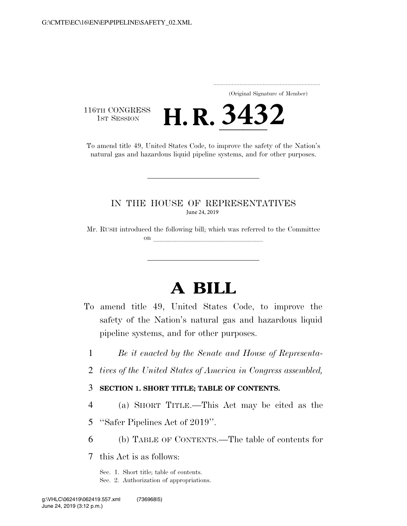..................................................................... (Original Signature of Member)

**3432**

116TH CONGRESS<br>1st Session

16TH CONGRESS<br>To amend title 49, United States Code, to improve the safety of the Nation's natural gas and hazardous liquid pipeline systems, and for other purposes.

### IN THE HOUSE OF REPRESENTATIVES June 24, 2019

Mr. RUSH introduced the following bill; which was referred to the Committee on **later and later and later and later and later and later and later and later and later**  $\alpha$ 

# **A BILL**

- To amend title 49, United States Code, to improve the safety of the Nation's natural gas and hazardous liquid pipeline systems, and for other purposes.
	- 1 *Be it enacted by the Senate and House of Representa-*
	- 2 *tives of the United States of America in Congress assembled,*

#### 3 **SECTION 1. SHORT TITLE; TABLE OF CONTENTS.**

- 4 (a) SHORT TITLE.—This Act may be cited as the
- 5 ''Safer Pipelines Act of 2019''.
- 6 (b) TABLE OF CONTENTS.—The table of contents for

7 this Act is as follows:

Sec. 1. Short title; table of contents. Sec. 2. Authorization of appropriations.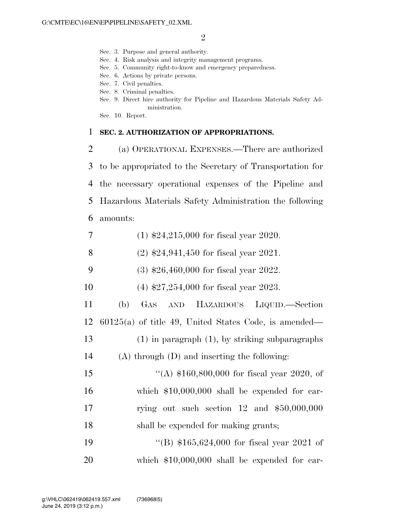- Sec. 3. Purpose and general authority.
- Sec. 4. Risk analysis and integrity management programs.
- Sec. 5. Community right-to-know and emergency preparedness.
- Sec. 6. Actions by private persons.
- Sec. 7. Civil penalties.
- Sec. 8. Criminal penalties.
- Sec. 9. Direct hire authority for Pipeline and Hazardous Materials Safety Administration.
- Sec. 10. Report.

#### 1 **SEC. 2. AUTHORIZATION OF APPROPRIATIONS.**

 (a) OPERATIONAL EXPENSES.—There are authorized to be appropriated to the Secretary of Transportation for the necessary operational expenses of the Pipeline and Hazardous Materials Safety Administration the following amounts:

- 7 (1) \$24,215,000 for fiscal year 2020.
- 8 (2) \$24,941,450 for fiscal year 2021.
- 9 (3) \$26,460,000 for fiscal year 2022.
- 10 (4) \$27,254,000 for fiscal year 2023.
- 11 (b) GAS AND HAZARDOUS LIQUID.—Section 12 60125(a) of title 49, United States Code, is amended— 13 (1) in paragraph (1), by striking subparagraphs 14 (A) through (D) and inserting the following: 15 "(A) \$160,800,000 for fiscal year 2020, of
- 16 which \$10,000,000 shall be expended for car-17 rying out such section 12 and \$50,000,000 18 shall be expended for making grants;
- 19 "(B) \$165,624,000 for fiscal year 2021 of 20 which \$10,000,000 shall be expended for car-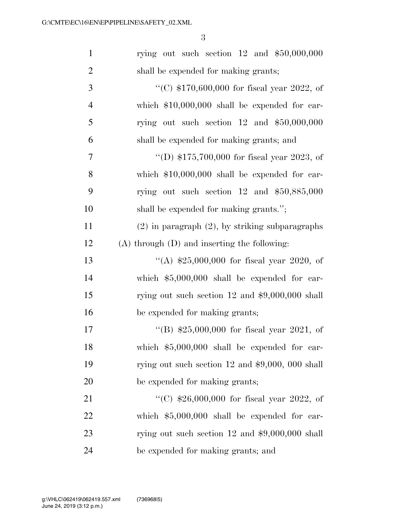| $\mathbf{1}$   | rying out such section $12$ and $$50,000,000$        |
|----------------|------------------------------------------------------|
| $\overline{2}$ | shall be expended for making grants;                 |
| 3              | "(C) $$170,600,000$ for fiscal year 2022, of         |
| $\overline{4}$ | which $$10,000,000$ shall be expended for car-       |
| 5              | rying out such section $12$ and $$50,000,000$        |
| 6              | shall be expended for making grants; and             |
| 7              | "(D) $$175,700,000$ for fiscal year 2023, of         |
| 8              | which $$10,000,000$ shall be expended for car-       |
| 9              | rying out such section $12$ and $$50,885,000$        |
| 10             | shall be expended for making grants.";               |
| 11             | $(2)$ in paragraph $(2)$ , by striking subparagraphs |
| 12             | $(A)$ through $(D)$ and inserting the following:     |
| 13             | "(A) $$25,000,000$ for fiscal year 2020, of          |
| 14             | which $$5,000,000$ shall be expended for car-        |
| 15             | rying out such section 12 and $$9,000,000$ shall     |
| 16             | be expended for making grants;                       |
| 17             | "(B) $$25,000,000$ for fiscal year 2021, of          |
| 18             | which $$5,000,000$ shall be expended for car-        |
| 19             | rying out such section $12$ and $$9,000, 000$ shall  |
| 20             | be expended for making grants;                       |
| 21             | "(C) $$26,000,000$ for fiscal year 2022, of          |
| 22             | which $$5,000,000$ shall be expended for car-        |
| 23             | rying out such section 12 and $$9,000,000$ shall     |
| 24             | be expended for making grants; and                   |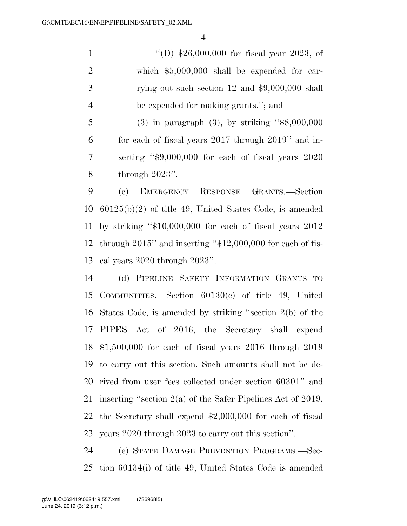''(D) \$26,000,000 for fiscal year 2023, of which \$5,000,000 shall be expended for car-3 rying out such section 12 and \$9,000,000 shall be expended for making grants.''; and

 (3) in paragraph (3), by striking ''\$8,000,000 for each of fiscal years 2017 through 2019'' and in- serting ''\$9,000,000 for each of fiscal years 2020 through 2023''.

 (c) EMERGENCY RESPONSE GRANTS.—Section 60125(b)(2) of title 49, United States Code, is amended by striking ''\$10,000,000 for each of fiscal years 2012 through 2015'' and inserting ''\$12,000,000 for each of fis-cal years 2020 through 2023''.

 (d) PIPELINE SAFETY INFORMATION GRANTS TO COMMUNITIES.—Section 60130(c) of title 49, United States Code, is amended by striking ''section 2(b) of the PIPES Act of 2016, the Secretary shall expend \$1,500,000 for each of fiscal years 2016 through 2019 to carry out this section. Such amounts shall not be de- rived from user fees collected under section 60301'' and inserting ''section 2(a) of the Safer Pipelines Act of 2019, the Secretary shall expend \$2,000,000 for each of fiscal years 2020 through 2023 to carry out this section''.

 (e) STATE DAMAGE PREVENTION PROGRAMS.—Sec-tion 60134(i) of title 49, United States Code is amended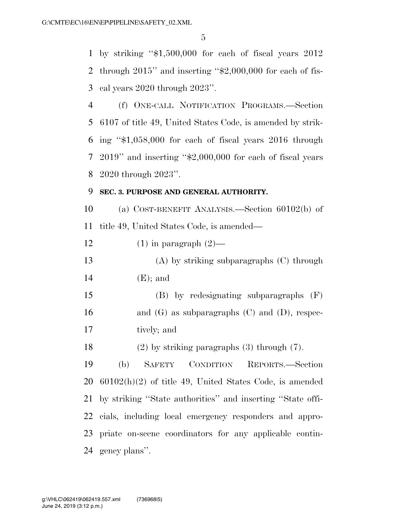by striking ''\$1,500,000 for each of fiscal years 2012 through 2015'' and inserting ''\$2,000,000 for each of fis-cal years 2020 through 2023''.

 (f) ONE-CALL NOTIFICATION PROGRAMS.—Section 6107 of title 49, United States Code, is amended by strik- ing ''\$1,058,000 for each of fiscal years 2016 through 2019'' and inserting ''\$2,000,000 for each of fiscal years 2020 through 2023''.

### **SEC. 3. PURPOSE AND GENERAL AUTHORITY.**

 (a) COST-BENEFIT ANALYSIS.—Section 60102(b) of title 49, United States Code, is amended—

12 (1) in paragraph  $(2)$ —

 (A) by striking subparagraphs (C) through (E); and

 (B) by redesignating subparagraphs (F) 16 and  $(G)$  as subparagraphs  $(C)$  and  $(D)$ , respec-tively; and

(2) by striking paragraphs (3) through (7).

 (b) SAFETY CONDITION REPORTS.—Section 60102(h)(2) of title 49, United States Code, is amended by striking ''State authorities'' and inserting ''State offi- cials, including local emergency responders and appro- priate on-scene coordinators for any applicable contin-gency plans''.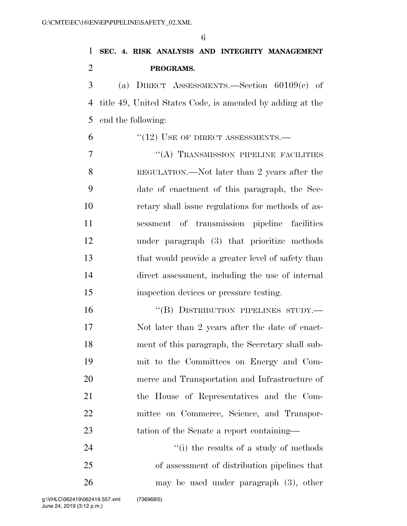| 1              | SEC. 4. RISK ANALYSIS AND INTEGRITY MANAGEMENT            |
|----------------|-----------------------------------------------------------|
| $\overline{2}$ | PROGRAMS.                                                 |
| 3              | (a) DIRECT ASSESSMENTS.—Section $60109(c)$ of             |
| 4              | title 49, United States Code, is amended by adding at the |
| 5              | end the following:                                        |
| 6              | $``(12)$ USE OF DIRECT ASSESSMENTS.—                      |
| 7              | "(A) TRANSMISSION PIPELINE FACILITIES                     |
| 8              | REGULATION.—Not later than 2 years after the              |
| 9              | date of enactment of this paragraph, the Sec-             |
| 10             | retary shall issue regulations for methods of as-         |
| 11             | sessment of transmission pipeline facilities              |
| 12             | under paragraph (3) that prioritize methods               |
| 13             | that would provide a greater level of safety than         |
| 14             | direct assessment, including the use of internal          |
| 15             | inspection devices or pressure testing.                   |
| 16             | "(B) DISTRIBUTION PIPELINES STUDY.—                       |
| 17             | Not later than 2 years after the date of enact-           |
| 18             | ment of this paragraph, the Secretary shall sub-          |
| 19             | mit to the Committees on Energy and Com-                  |
| 20             | merce and Transportation and Infrastructure of            |
| 21             | the House of Representatives and the Com-                 |
| 22             | mittee on Commerce, Science, and Transpor-                |
| 23             | tation of the Senate a report containing—                 |
| 24             | $``(i)$ the results of a study of methods                 |
| 25             | of assessment of distribution pipelines that              |
| 26             | may be used under paragraph $(3)$ , other                 |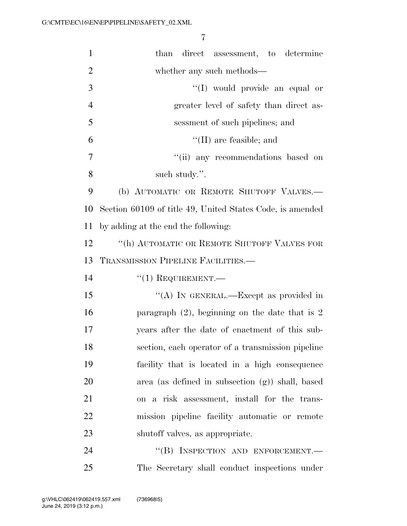| $\mathbf{1}$   | than direct assessment, to determine                      |
|----------------|-----------------------------------------------------------|
| $\overline{2}$ | whether any such methods—                                 |
| 3              | "(I) would provide an equal or                            |
| $\overline{4}$ | greater level of safety than direct as-                   |
| 5              | sessment of such pipelines; and                           |
| 6              | $\lq\lq$ (II) are feasible; and                           |
| 7              | "(ii) any recommendations based on                        |
| 8              | such study.".                                             |
| 9              | (b) AUTOMATIC OR REMOTE SHUTOFF VALVES.-                  |
| 10             | Section 60109 of title 49, United States Code, is amended |
| 11             | by adding at the end the following:                       |
| 12             | "(h) AUTOMATIC OR REMOTE SHUTOFF VALVES FOR               |
| 13             | TRANSMISSION PIPELINE FACILITIES.-                        |
| 14             | $``(1)$ REQUIREMENT.—                                     |
| 15             | "(A) IN GENERAL.—Except as provided in                    |
| 16             | paragraph $(2)$ , beginning on the date that is 2         |
| 17             | years after the date of enactment of this sub-            |
| 18             | section, each operator of a transmission pipeline         |
| 19             | facility that is located in a high consequence            |
| 20             | area (as defined in subsection $(g)$ ) shall, based       |
| 21             | on a risk assessment, install for the trans-              |
| 22             | mission pipeline facility automatic or remote             |
| 23             | shutoff valves, as appropriate.                           |
| 24             | "(B) INSPECTION AND ENFORCEMENT.-                         |
|                |                                                           |

The Secretary shall conduct inspections under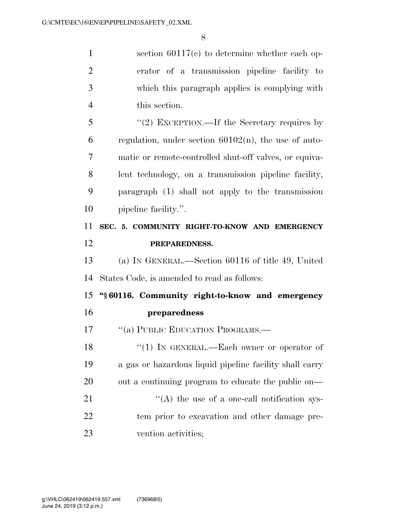section 60117(c) to determine whether each op- erator of a transmission pipeline facility to which this paragraph applies is complying with this section. ''(2) EXCEPTION.—If the Secretary requires by regulation, under section 60102(n), the use of auto- matic or remote-controlled shut-off valves, or equiva- lent technology, on a transmission pipeline facility, paragraph (1) shall not apply to the transmission 10 pipeline facility.". **SEC. 5. COMMUNITY RIGHT-TO-KNOW AND EMERGENCY PREPAREDNESS.**  (a) IN GENERAL.—Section 60116 of title 49, United States Code, is amended to read as follows: **''§ 60116. Community right-to-know and emergency preparedness**  17 "(a) PUBLIC EDUCATION PROGRAMS.— 18 "(1) IN GENERAL.—Each owner or operator of a gas or hazardous liquid pipeline facility shall carry out a continuing program to educate the public on—  $\langle (A)$  the use of a one-call notification sys- tem prior to excavation and other damage pre-vention activities;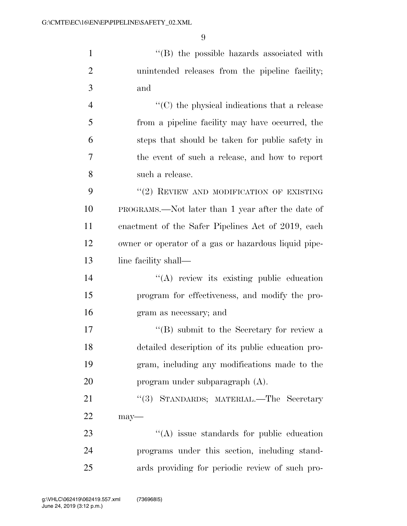1 ''(B) the possible hazards associated with unintended releases from the pipeline facility; and

 ''(C) the physical indications that a release from a pipeline facility may have occurred, the steps that should be taken for public safety in the event of such a release, and how to report such a release.

9 "(2) REVIEW AND MODIFICATION OF EXISTING PROGRAMS.—Not later than 1 year after the date of enactment of the Safer Pipelines Act of 2019, each owner or operator of a gas or hazardous liquid pipe-13 line facility shall—

14  $\langle (A)$  review its existing public education program for effectiveness, and modify the pro-gram as necessary; and

17 ''(B) submit to the Secretary for review a detailed description of its public education pro- gram, including any modifications made to the program under subparagraph (A).

21 "(3) STANDARDS; MATERIAL.—The Secretary may—

23 "(A) issue standards for public education programs under this section, including stand-ards providing for periodic review of such pro-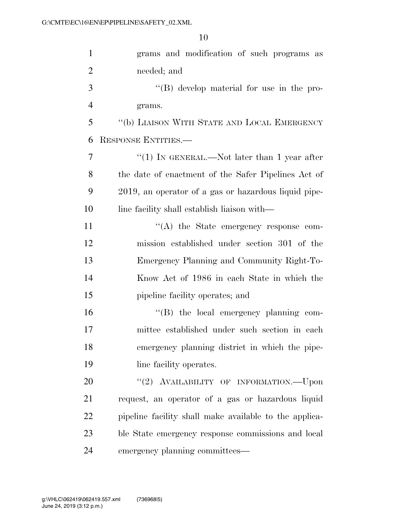| $\mathbf{1}$   | grams and modification of such programs as             |
|----------------|--------------------------------------------------------|
| $\overline{c}$ | needed; and                                            |
| 3              | "(B) develop material for use in the pro-              |
| $\overline{4}$ | grams.                                                 |
| 5              | "(b) LIAISON WITH STATE AND LOCAL EMERGENCY            |
| 6              | RESPONSE ENTITIES.—                                    |
| 7              | "(1) IN GENERAL.—Not later than 1 year after           |
| 8              | the date of enactment of the Safer Pipelines Act of    |
| 9              | 2019, an operator of a gas or hazardous liquid pipe-   |
| 10             | line facility shall establish liaison with—            |
| 11             | $\lq\lq$ the State emergency response com-             |
| 12             | mission established under section 301 of the           |
| 13             | Emergency Planning and Community Right-To-             |
| 14             | Know Act of 1986 in each State in which the            |
| 15             | pipeline facility operates; and                        |
| 16             | $\lq\lq (B)$ the local emergency planning com-         |
| 17             | mittee established under such section in each          |
| 18             | emergency planning district in which the pipe-         |
| 19             | line facility operates.                                |
| 20             | "(2) AVAILABILITY OF INFORMATION.—Upon                 |
| 21             | request, an operator of a gas or hazardous liquid      |
| 22             | pipeline facility shall make available to the applica- |
| 23             | ble State emergency response commissions and local     |
| 24             | emergency planning committees—                         |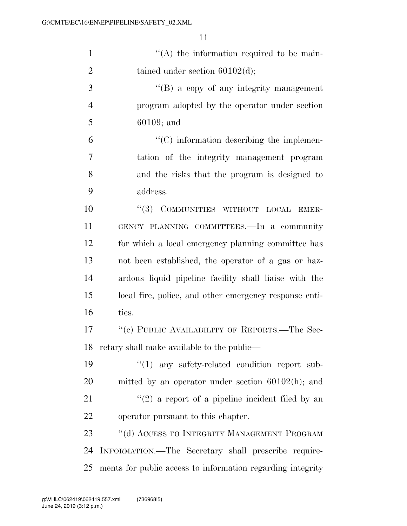| $\mathbf{1}$   | $\lq\lq$ the information required to be main-              |
|----------------|------------------------------------------------------------|
| $\overline{2}$ | tained under section $60102(d)$ ;                          |
| 3              | $\lq\lq (B)$ a copy of any integrity management            |
| 4              | program adopted by the operator under section              |
| 5              | $60109;$ and                                               |
| 6              | $\cdot$ (C) information describing the implemen-           |
| 7              | tation of the integrity management program                 |
| 8              | and the risks that the program is designed to              |
| 9              | address.                                                   |
| 10             | COMMUNITIES WITHOUT LOCAL<br>(3)<br>EMER-                  |
| 11             | GENCY PLANNING COMMITTEES. In a community                  |
| 12             | for which a local emergency planning committee has         |
| 13             | not been established, the operator of a gas or haz-        |
| 14             | ardous liquid pipeline facility shall liaise with the      |
| 15             | local fire, police, and other emergency response enti-     |
| 16             | ties.                                                      |
| 17             | "(c) PUBLIC AVAILABILITY OF REPORTS.—The Sec-              |
| 18             | retary shall make available to the public—                 |
| 19             | "(1) any safety-related condition report sub-              |
| 20             | mitted by an operator under section $60102(h)$ ; and       |
| 21             | $\lq(2)$ a report of a pipeline incident filed by an       |
| 22             | operator pursuant to this chapter.                         |
| 23             | "(d) ACCESS TO INTEGRITY MANAGEMENT PROGRAM                |
| 24             | INFORMATION.—The Secretary shall prescribe require-        |
| 25             | ments for public access to information regarding integrity |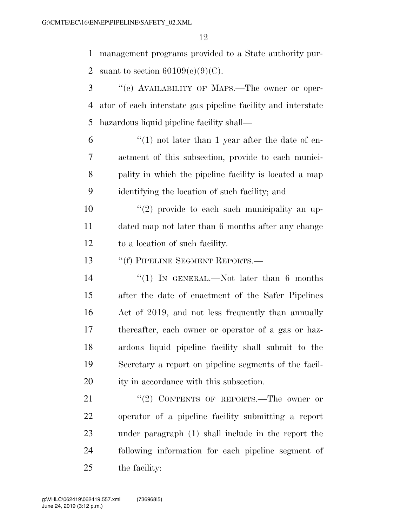management programs provided to a State authority pur-2 suant to section  $60109(c)(9)(C)$ .

- ''(e) AVAILABILITY OF MAPS.—The owner or oper- ator of each interstate gas pipeline facility and interstate hazardous liquid pipeline facility shall—
- $\frac{6}{1}$  <sup>"</sup>(1) not later than 1 year after the date of en- actment of this subsection, provide to each munici- pality in which the pipeline facility is located a map identifying the location of such facility; and
- $(2)$  provide to each such municipality an up- dated map not later than 6 months after any change to a location of such facility.

13 "If PIPELINE SEGMENT REPORTS.—

- 14 ''(1) In GENERAL.—Not later than 6 months after the date of enactment of the Safer Pipelines Act of 2019, and not less frequently than annually thereafter, each owner or operator of a gas or haz- ardous liquid pipeline facility shall submit to the Secretary a report on pipeline segments of the facil-ity in accordance with this subsection.
- 21 "(2) CONTENTS OF REPORTS.—The owner or operator of a pipeline facility submitting a report under paragraph (1) shall include in the report the following information for each pipeline segment of the facility: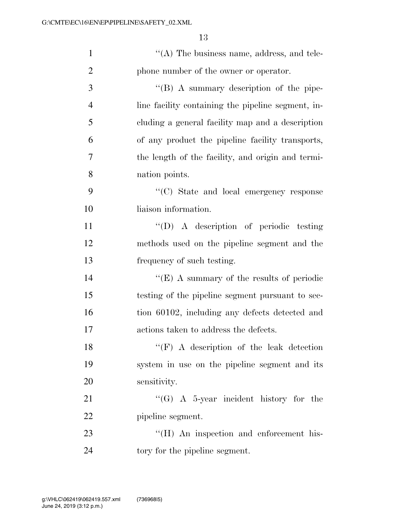| $\mathbf{1}$   | $\lq\lq$ (A) The business name, address, and tele- |
|----------------|----------------------------------------------------|
| $\overline{2}$ | phone number of the owner or operator.             |
| 3              | $\lq\lq (B)$ A summary description of the pipe-    |
| $\overline{4}$ | line facility containing the pipeline segment, in- |
| 5              | cluding a general facility map and a description   |
| 6              | of any product the pipeline facility transports,   |
| 7              | the length of the facility, and origin and termi-  |
| 8              | nation points.                                     |
| 9              | "(C) State and local emergency response            |
| 10             | liaison information.                               |
| 11             | $\lq\lq$ (D) A description of periodic testing     |
| 12             | methods used on the pipeline segment and the       |
| 13             | frequency of such testing.                         |
| 14             | "(E) A summary of the results of periodic          |
| 15             | testing of the pipeline segment pursuant to sec-   |
| 16             | tion 60102, including any defects detected and     |
| 17             | actions taken to address the defects.              |
| 18             | $``(F)$ A description of the leak detection        |
| 19             | system in use on the pipeline segment and its      |
| 20             | sensitivity.                                       |
| 21             | "(G) A 5-year incident history for the             |
| 22             | pipeline segment.                                  |
| 23             | "(H) An inspection and enforcement his-            |
| 24             | tory for the pipeline segment.                     |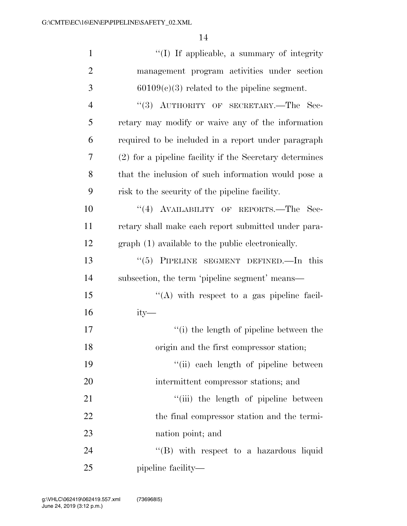| $\mathbf{1}$   | "(I) If applicable, a summary of integrity              |
|----------------|---------------------------------------------------------|
| $\overline{2}$ | management program activities under section             |
| 3              | $60109(c)(3)$ related to the pipeline segment.          |
| $\overline{4}$ | $``(3)$ AUTHORITY OF SECRETARY.—The<br>- Sec-           |
| 5              | retary may modify or waive any of the information       |
| 6              | required to be included in a report under paragraph     |
| $\overline{7}$ | (2) for a pipeline facility if the Secretary determines |
| 8              | that the inclusion of such information would pose a     |
| 9              | risk to the security of the pipeline facility.          |
| 10             | "(4) AVAILABILITY OF REPORTS.—The<br>Sec-               |
| 11             | retary shall make each report submitted under para-     |
| 12             | graph (1) available to the public electronically.       |
| 13             | " $(5)$ PIPELINE SEGMENT DEFINED.—In this               |
| 14             | subsection, the term 'pipeline segment' means—          |
| 15             | "(A) with respect to a gas pipeline facil-              |
| 16             | $ity-$                                                  |
| 17             | "(i) the length of pipeline between the                 |
| 18             | origin and the first compressor station;                |
| 19             | "(ii) each length of pipeline between                   |
| 20             | intermittent compressor stations; and                   |
| 21             | "(iii) the length of pipeline between                   |
| 22             | the final compressor station and the termi-             |
| 23             | nation point; and                                       |
| 24             | $\lq\lq$ with respect to a hazardous liquid             |
| 25             | pipeline facility—                                      |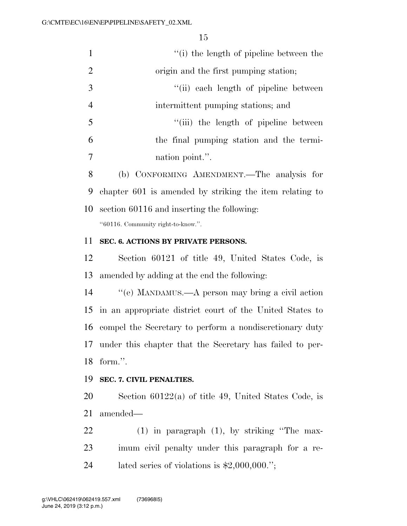| 1              | "(i) the length of pipeline between the                 |
|----------------|---------------------------------------------------------|
| $\overline{2}$ | origin and the first pumping station;                   |
| 3              | "(ii) each length of pipeline between                   |
| $\overline{4}$ | intermittent pumping stations; and                      |
| 5              | "(iii) the length of pipeline between                   |
| 6              | the final pumping station and the termi-                |
| $\overline{7}$ | nation point.".                                         |
| 8              | (b) CONFORMING AMENDMENT.—The analysis for              |
| 9              | chapter 601 is amended by striking the item relating to |
| 10             | section 60116 and inserting the following:              |
|                | "60116. Community right-to-know.".                      |

## **SEC. 6. ACTIONS BY PRIVATE PERSONS.**

 Section 60121 of title 49, United States Code, is amended by adding at the end the following:

 ''(e) MANDAMUS.—A person may bring a civil action in an appropriate district court of the United States to compel the Secretary to perform a nondiscretionary duty under this chapter that the Secretary has failed to per-form.''.

#### **SEC. 7. CIVIL PENALTIES.**

 Section 60122(a) of title 49, United States Code, is amended—

 (1) in paragraph (1), by striking ''The max- imum civil penalty under this paragraph for a re-lated series of violations is \$2,000,000.'';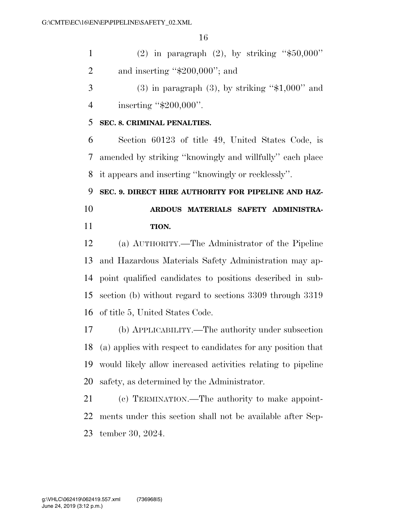1 (2) in paragraph  $(2)$ , by striking "\$50,000" and inserting ''\$200,000''; and

 $3 \qquad (3)$  in paragraph  $(3)$ , by striking "\$1,000" and 4 inserting "\$200,000".

### **SEC. 8. CRIMINAL PENALTIES.**

 Section 60123 of title 49, United States Code, is amended by striking ''knowingly and willfully'' each place it appears and inserting ''knowingly or recklessly''.

 **SEC. 9. DIRECT HIRE AUTHORITY FOR PIPELINE AND HAZ- ARDOUS MATERIALS SAFETY ADMINISTRA-TION.** 

 (a) AUTHORITY.—The Administrator of the Pipeline and Hazardous Materials Safety Administration may ap- point qualified candidates to positions described in sub- section (b) without regard to sections 3309 through 3319 of title 5, United States Code.

 (b) APPLICABILITY.—The authority under subsection (a) applies with respect to candidates for any position that would likely allow increased activities relating to pipeline safety, as determined by the Administrator.

 (c) TERMINATION.—The authority to make appoint- ments under this section shall not be available after Sep-tember 30, 2024.